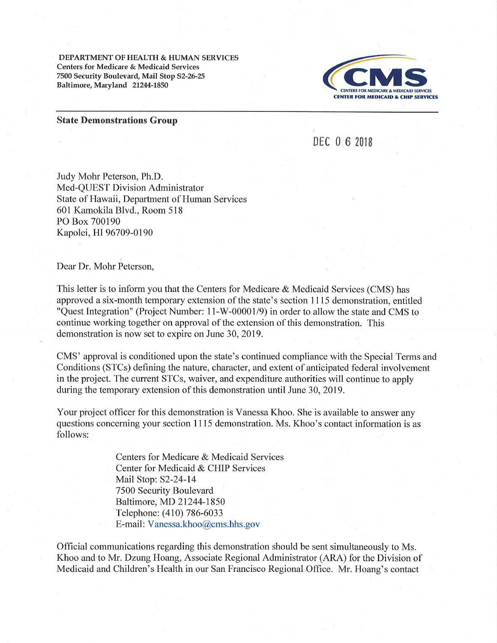DEPARTMENT OF HEALTH & HUMAN SERVICES Centers for Medicare & Medicaid Services 7500 Security Boulevard, Mail Stop S2-26-?5 Baltimore, Maryland 21244-1850



## State Demonstrations Group

DEC 0 6 <sup>2018</sup>

Judy Mohr Peterson, Ph.D. Med-QUEST Division Administrator State of Hawaii, Department of Human Services 601 Kamokila Blvd., Room 518 PO Box 700190 Kapolei, HI 96709-0190

Dear Dr. Mohr Peterson,

This letter is to inform you that the Centers for Medicare & Medicaid Services (CMS) has approved a six-month temporary extension of the state's section 1115 demonstration, entitled "Quest Integration" (Project Number: I l-W-0000119) in order to allow the state and CMS to continue working together on approval of the extension of this demonstration. This demonstration is now set to expire on June 30,2019.

CMS' approval is conditioned upon the state's continued compliance with the Special Terms and Conditions (STCs) defining the nature, character, and extent of anticipated federal involvement in the project. The current STCs, waiver, and expenditure authorities will continue to apply during the temporary extension of this demonstration until June 30, 2019.

Your project officer for this demonstration is Vanessa Khoo. She is available to answer any questions concerning your section 1115 demonstration. Ms. Khoo's contact information is as follows:

> Centers for Medicare & Medicaid Services Center for Medicaid & CHIP Services Mail Stop: 32-24-14 7500 Security Boulevard Baltimore, MD 21244-1850 Telephone: (410) 786-6033 E-mail: Vanessa.khoo@cms.hhs.gov

Official communications regarding this demonstration should be sent simultaneously to Ms. Khoo and to Mr. Dzung Hoang, Associate Regional Administrator (ARA) for the Division of Medicaid and Children's Health in our San Francisco Regional Office. Mr. Hoang's contact